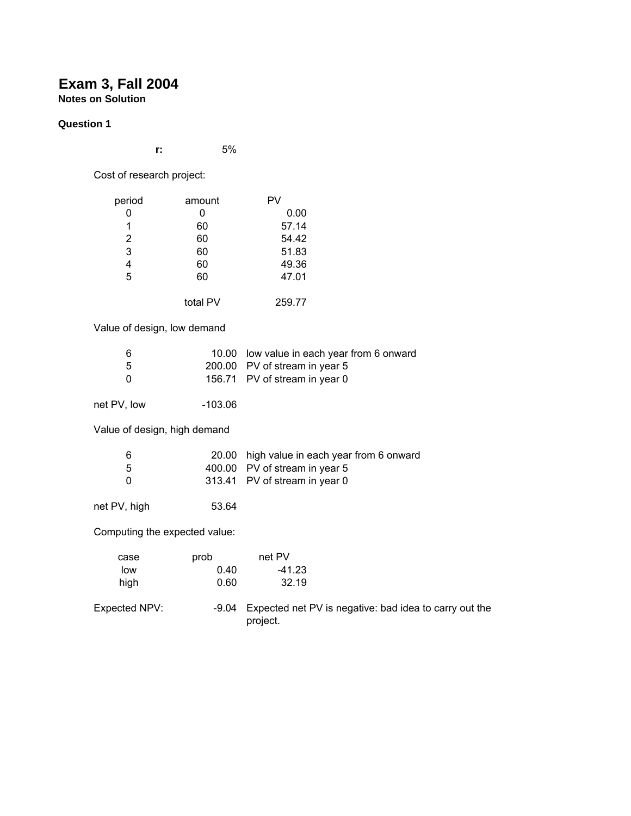# **Exam 3, Fall 2004 Notes on Solution**

# **Question 1**

**r:** 5%

Cost of research project:

| period                        | amount    | PV                                                                 |
|-------------------------------|-----------|--------------------------------------------------------------------|
| 0                             | 0         | 0.00                                                               |
| $\mathbf 1$                   | 60        | 57.14                                                              |
| $\overline{\mathbf{c}}$       | 60        | 54.42                                                              |
| 3                             | 60        | 51.83                                                              |
| 4                             | 60        | 49.36                                                              |
| 5                             | 60        | 47.01                                                              |
|                               | total PV  | 259.77                                                             |
| Value of design, low demand   |           |                                                                    |
| 6                             |           | 10.00 low value in each year from 6 onward                         |
| 5                             |           | 200.00 PV of stream in year 5                                      |
| 0                             |           | 156.71 PV of stream in year 0                                      |
| net PV, low                   | $-103.06$ |                                                                    |
| Value of design, high demand  |           |                                                                    |
| 6                             | 20.00     | high value in each year from 6 onward                              |
| 5                             |           | 400.00 PV of stream in year 5                                      |
| 0                             |           | 313.41 PV of stream in year 0                                      |
| net PV, high                  | 53.64     |                                                                    |
| Computing the expected value: |           |                                                                    |
| case                          | prob      | net PV                                                             |
| low                           | 0.40      | $-41.23$                                                           |
| high                          | 0.60      | 32.19                                                              |
| Expected NPV:                 | $-9.04$   | Expected net PV is negative: bad idea to carry out the<br>project. |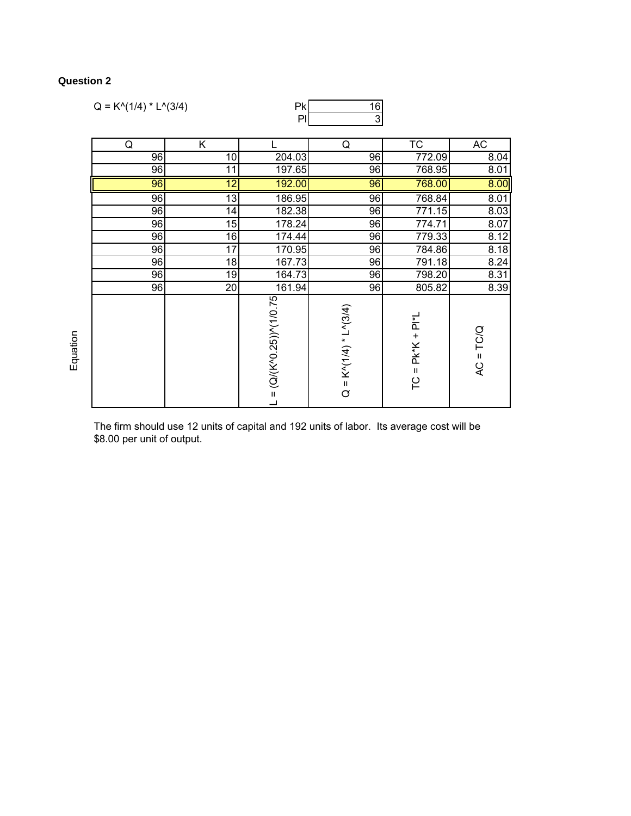# **Question 2**

| $Q = K^{\wedge}(1/4) * L^{\wedge}(3/4)$ |                 | Pk                            | 16                                                   |                            |             |
|-----------------------------------------|-----------------|-------------------------------|------------------------------------------------------|----------------------------|-------------|
|                                         |                 | PI                            | $\overline{3}$                                       |                            |             |
| Q                                       | Κ               |                               | Q                                                    | TC                         | AC          |
| 96                                      | 10              | 204.03                        | 96                                                   | 772.09                     | 8.04        |
| 96                                      | 11              | 197.65                        | 96                                                   | 768.95                     | 8.01        |
| 96                                      | $\overline{12}$ | 192.00                        | 96                                                   | 768.00                     | 8.00        |
| 96                                      | $\overline{13}$ | 186.95                        | 96                                                   | 768.84                     | 8.01        |
| 96                                      | 14              | 182.38                        | 96                                                   | 771.15                     | 8.03        |
| 96                                      | 15              | 178.24                        | 96                                                   | 774.71                     | 8.07        |
| 96                                      | 16              | 174.44                        | 96                                                   | 779.33                     | 8.12        |
| 96                                      | 17              | 170.95                        | 96                                                   | 784.86                     | 8.18        |
| 96                                      | 18              | 167.73                        | 96                                                   | 791.18                     | 8.24        |
| 96                                      | 19              | 164.73                        | 96                                                   | 798.20                     | 8.31        |
| 96                                      | 20              | 161.94                        | 96                                                   | 805.82                     | 8.39        |
|                                         |                 | $L = (Q/(K^0.25))^N (1/0.75)$ | $K^{\wedge}$ (1/4) * L $^{\wedge}$ (3/4)<br>$\sigma$ | $P$ k* $K + P$  *L<br>TC = | $AC = TC/Q$ |

The firm should use 12 units of capital and 192 units of labor. Its average cost will be \$8.00 per unit of output.

Equation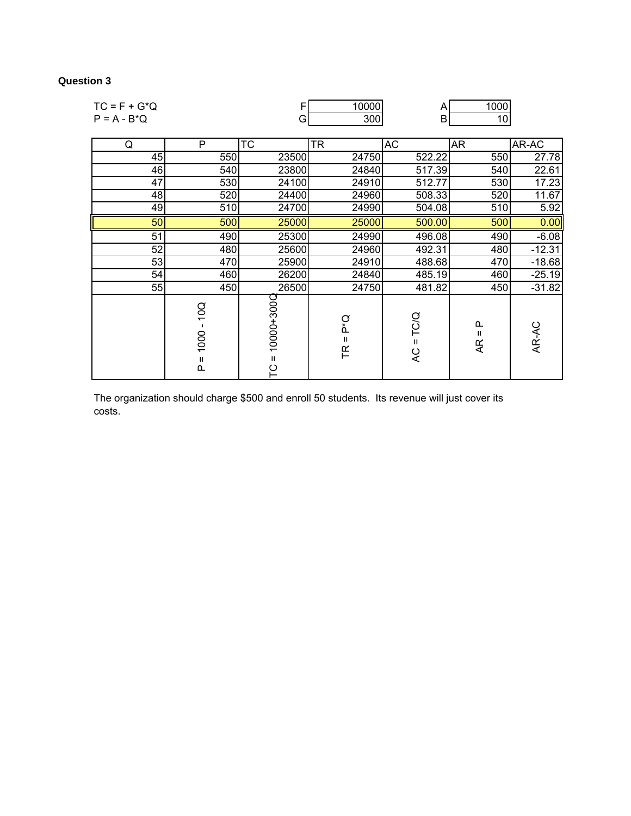## **Question 3**

| $TC = F + G^*Q$ |                            | F                                | 10000                    | A                          | 1000                                |          |
|-----------------|----------------------------|----------------------------------|--------------------------|----------------------------|-------------------------------------|----------|
| $P = A - B^*Q$  |                            | G                                | 300                      | B                          | 10                                  |          |
|                 |                            |                                  |                          |                            |                                     |          |
| Q               | P                          | $\overline{\text{TC}}$           | <b>TR</b>                | AC                         | <b>AR</b>                           | AR-AC    |
| 45              | 550                        | 23500                            | 24750                    | 522.22                     | 550                                 | 27.78    |
| 46              | 540                        | 23800                            | 24840                    | 517.39                     | 540                                 | 22.61    |
| 47              | 530                        | 24100                            | 24910                    | 512.77                     | 530                                 | 17.23    |
| 48              | 520                        | 24400                            | 24960                    | 508.33                     | 520                                 | 11.67    |
| 49              | 510                        | 24700                            | 24990                    | 504.08                     | 510                                 | 5.92     |
| 50              | 500                        | 25000                            | 25000                    | 500.00                     | 500                                 | 0.00     |
| 51              | 490                        | 25300                            | 24990                    | 496.08                     | 490                                 | $-6.08$  |
| 52              | 480                        | 25600                            | 24960                    | 492.31                     | 480                                 | $-12.31$ |
| 53              | 470                        | 25900                            | 24910                    | 488.68                     | 470                                 | $-18.68$ |
| 54              | 460                        | 26200                            | 24840                    | 485.19                     | 460                                 | $-25.19$ |
| 55              | 450                        | 26500                            | 24750                    | 481.82                     | 450                                 | $-31.82$ |
|                 | 10Q<br>1000<br>Ш<br>$\sim$ | 10000+300C<br>$\mathbf{H}$<br>ပု | ρ*Ω<br>$\mathbf{H}$<br>F | TC/Q<br>$\mathbf{II}$<br>Q | ≏<br>$\mathbf{H}$<br>$\overline{4}$ | AR-AC    |

The organization should charge \$500 and enroll 50 students. Its revenue will just cover its costs.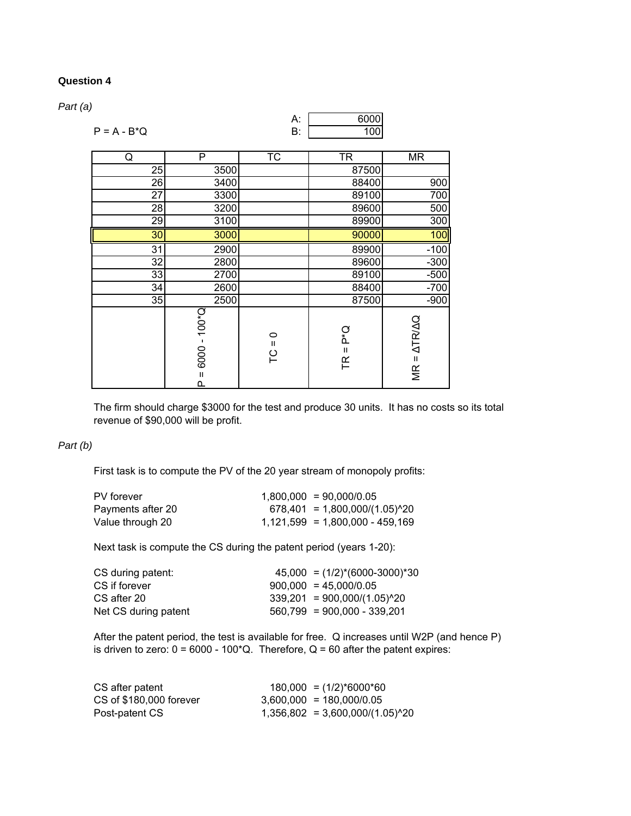## **Question 4**

*Part (a)*

|                |                                                   | А:                       | 6000                        |                           |
|----------------|---------------------------------------------------|--------------------------|-----------------------------|---------------------------|
| $P = A - B^*Q$ |                                                   | В.                       | 100                         |                           |
|                | $\overline{P}$                                    |                          |                             |                           |
| Q              |                                                   | $\overline{\text{TC}}$   | <b>TR</b>                   | <b>MR</b>                 |
| 25             | 3500                                              |                          | 87500                       |                           |
| 26             | 3400                                              |                          | 88400                       | 900                       |
| 27             | 3300                                              |                          | 89100                       | 700                       |
| 28             | 3200                                              |                          | 89600                       | 500                       |
| 29             | 3100                                              |                          | 89900                       | 300                       |
| 30             | 3000                                              |                          | 90000                       | 100                       |
| 31             | 2900                                              |                          | 89900                       | $-100$                    |
| 32             | 2800                                              |                          | 89600                       | $-300$                    |
| 33             | 2700                                              |                          | 89100                       | $-500$                    |
| 34             | 2600                                              |                          | 88400                       | $-700$                    |
| 35             | 2500                                              |                          | 87500                       | $-900$                    |
|                | $100*$<br>$\blacksquare$<br>6000<br>$\sf II$<br>௳ | $\circ$<br>$\sf II$<br>ဥ | о<br>А<br>$\mathbf{I}$<br>任 | $MR = \Delta TR/\Delta Q$ |

The firm should charge \$3000 for the test and produce 30 units. It has no costs so its total revenue of \$90,000 will be profit.

## *Part (b)*

First task is to compute the PV of the 20 year stream of monopoly profits:

| PV forever        | $1,800,000 = 90,000/0.05$         |
|-------------------|-----------------------------------|
| Payments after 20 | $678,401 = 1,800,000/(1.05)^{20}$ |
| Value through 20  | $1,121,599 = 1,800,000 - 459,169$ |

Next task is compute the CS during the patent period (years 1-20):

| $45,000 = (1/2)*(6000-3000)*30$ |
|---------------------------------|
| $900,000 = 45,000/0.05$         |
| $339,201 = 900,000/(1.05)^{20}$ |
| $560,799 = 900,000 - 339,201$   |
|                                 |

After the patent period, the test is available for free. Q increases until W2P (and hence P) is driven to zero:  $0 = 6000 - 100^{\circ}Q$ . Therefore, Q = 60 after the patent expires:

| CS after patent         | $180,000 = (1/2)*6000*60$           |
|-------------------------|-------------------------------------|
| CS of \$180,000 forever | $3.600.000 = 180.000/0.05$          |
| Post-patent CS          | $1,356,802 = 3,600,000/(1.05)^{2}0$ |